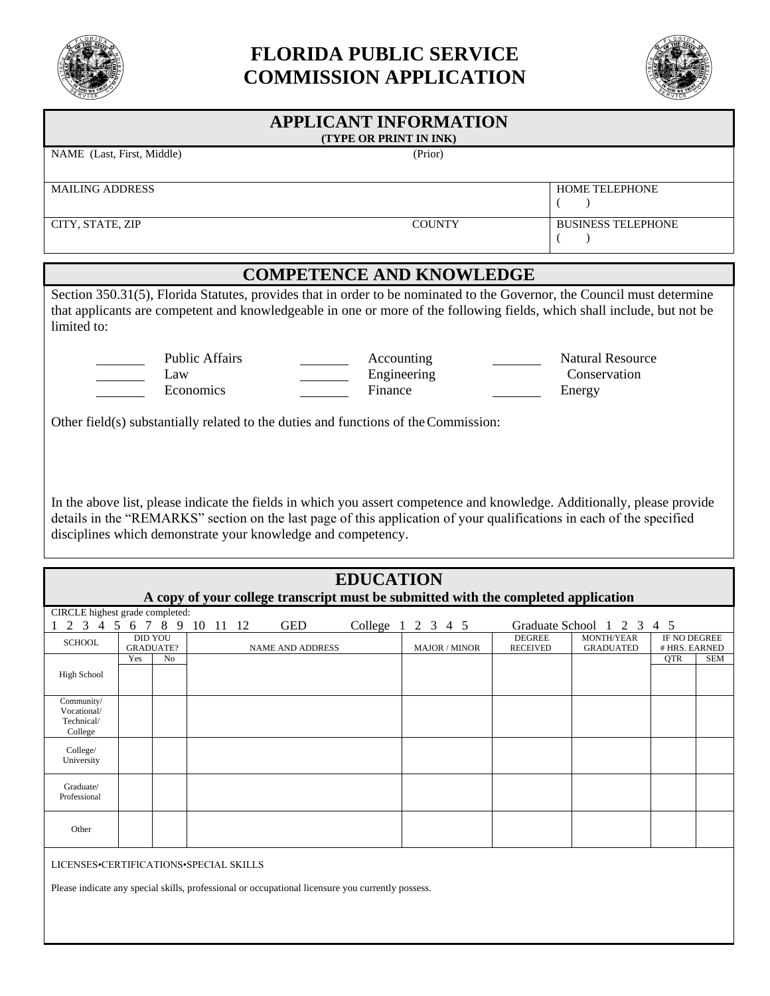

# **FLORIDA PUBLIC SERVICE COMMISSION APPLICATION**



# **APPLICANT INFORMATION (TYPE OR PRINT IN INK)** NAME (Last, First, Middle) (Prior) MAILING ADDRESS HOME TELEPHONE  $($   $)$ CITY, STATE, ZIP COUNTY BUSINESS TELEPHONE  $($ **COMPETENCE AND KNOWLEDGE** Section 350.31(5), Florida Statutes, provides that in order to be nominated to the Governor, the Council must determine that applicants are competent and knowledgeable in one or more of the following fields, which shall include, but not be limited to: Public Affairs **Accounting Accounting Natural Resource** Law **Engineering** Conservation Economics Finance Energy Other field(s) substantially related to the duties and functions of theCommission:

In the above list, please indicate the fields in which you assert competence and knowledge. Additionally, please provide details in the "REMARKS" section on the last page of this application of your qualifications in each of the specified disciplines which demonstrate your knowledge and competency.

| <b>EDUCATION</b><br>A copy of your college transcript must be submitted with the completed application                                      |                                    |                |                         |  |  |                      |                                  |                                |                               |     |            |
|---------------------------------------------------------------------------------------------------------------------------------------------|------------------------------------|----------------|-------------------------|--|--|----------------------|----------------------------------|--------------------------------|-------------------------------|-----|------------|
| CIRCLE highest grade completed:                                                                                                             |                                    |                |                         |  |  |                      |                                  |                                |                               |     |            |
| 2 3 4 5 6 7 8 9 10 11 12<br><b>GED</b><br>College 1 2 3 4 5<br>Graduate School 1 2 3 4 5                                                    |                                    |                |                         |  |  |                      |                                  |                                |                               |     |            |
| <b>SCHOOL</b>                                                                                                                               | <b>DID YOU</b><br><b>GRADUATE?</b> |                | <b>NAME AND ADDRESS</b> |  |  | <b>MAJOR / MINOR</b> | <b>DEGREE</b><br><b>RECEIVED</b> | MONTH/YEAR<br><b>GRADUATED</b> | IF NO DEGREE<br># HRS. EARNED |     |            |
| <b>High School</b>                                                                                                                          | Yes                                | N <sub>0</sub> |                         |  |  |                      |                                  |                                |                               | QTR | <b>SEM</b> |
| Community/<br>Vocational/<br>Technical/<br>College                                                                                          |                                    |                |                         |  |  |                      |                                  |                                |                               |     |            |
| College/<br>University                                                                                                                      |                                    |                |                         |  |  |                      |                                  |                                |                               |     |            |
| Graduate/<br>Professional                                                                                                                   |                                    |                |                         |  |  |                      |                                  |                                |                               |     |            |
| Other                                                                                                                                       |                                    |                |                         |  |  |                      |                                  |                                |                               |     |            |
| LICENSES•CERTIFICATIONS•SPECIAL SKILLS<br>Please indicate any special skills, professional or occupational licensure you currently possess. |                                    |                |                         |  |  |                      |                                  |                                |                               |     |            |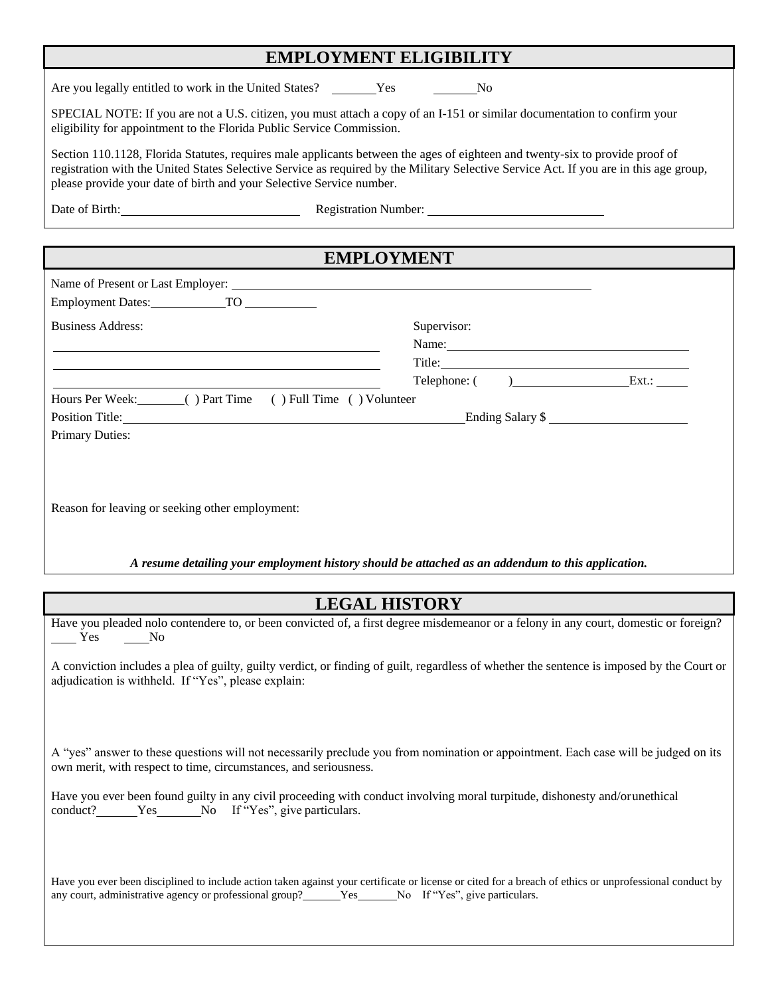### **EMPLOYMENT ELIGIBILITY**

Are you legally entitled to work in the United States? \_\_\_\_\_\_Yes \_\_\_\_\_\_No

SPECIAL NOTE: If you are not a U.S. citizen, you must attach a copy of an I-151 or similar documentation to confirm your eligibility for appointment to the Florida Public Service Commission.

Section 110.1128, Florida Statutes, requires male applicants between the ages of eighteen and twenty-six to provide proof of registration with the United States Selective Service as required by the Military Selective Service Act. If you are in this age group, please provide your date of birth and your Selective Service number.

Date of Birth: Registration Number:

# **EMPLOYMENT** Name of Present or Last Employer: Employment Dates: TO Business Address: Supervisor: Supervisor: Name: Title: Telephone: ( ) Ext.: Hours Per Week: ( ) Part Time ( ) Full Time ( ) Volunteer Position Title: Ending Salary \$ Primary Duties: Reason for leaving or seeking other employment:

*A resume detailing your employment history should be attached as an addendum to this application.*

### **LEGAL HISTORY**

Have you pleaded nolo contendere to, or been convicted of, a first degree misdemeanor or a felony in any court, domestic or foreign? Yes No

A conviction includes a plea of guilty, guilty verdict, or finding of guilt, regardless of whether the sentence is imposed by the Court or adjudication is withheld. If "Yes", please explain:

A "yes" answer to these questions will not necessarily preclude you from nomination or appointment. Each case will be judged on its own merit, with respect to time, circumstances, and seriousness.

Have you ever been found guilty in any civil proceeding with conduct involving moral turpitude, dishonesty and/orunethical conduct? Yes No If "Yes", give particulars.

Have you ever been disciplined to include action taken against your certificate or license or cited for a breach of ethics or unprofessional conduct by any court, administrative agency or professional group? Yes No If "Yes", give particulars.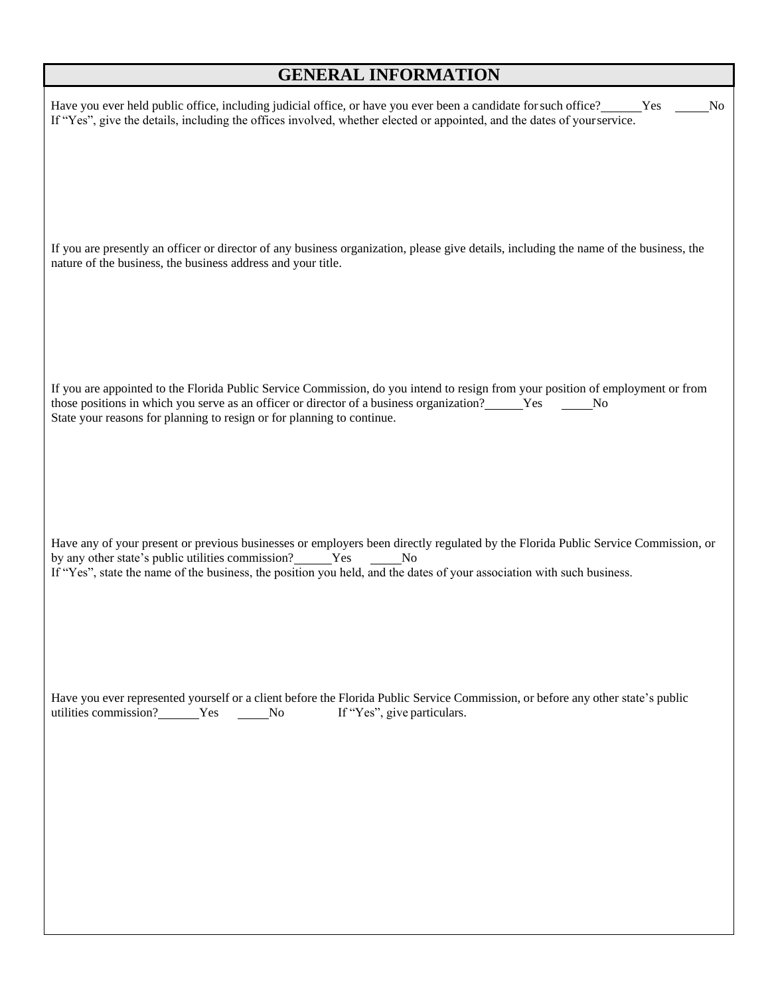### **GENERAL INFORMATION**

| Have you ever held public office, including judicial office, or have you ever been a candidate for such office? Ves<br>If "Yes", give the details, including the offices involved, whether elected or appointed, and the dates of your service.                                                                         | No |
|-------------------------------------------------------------------------------------------------------------------------------------------------------------------------------------------------------------------------------------------------------------------------------------------------------------------------|----|
| If you are presently an officer or director of any business organization, please give details, including the name of the business, the<br>nature of the business, the business address and your title.                                                                                                                  |    |
| If you are appointed to the Florida Public Service Commission, do you intend to resign from your position of employment or from<br>State your reasons for planning to resign or for planning to continue.                                                                                                               |    |
| Have any of your present or previous businesses or employers been directly regulated by the Florida Public Service Commission, or<br>by any other state's public utilities commission? Ves No<br>If "Yes", state the name of the business, the position you held, and the dates of your association with such business. |    |
| Have you ever represented yourself or a client before the Florida Public Service Commission, or before any other state's public<br>If "Yes", give particulars.                                                                                                                                                          |    |
|                                                                                                                                                                                                                                                                                                                         |    |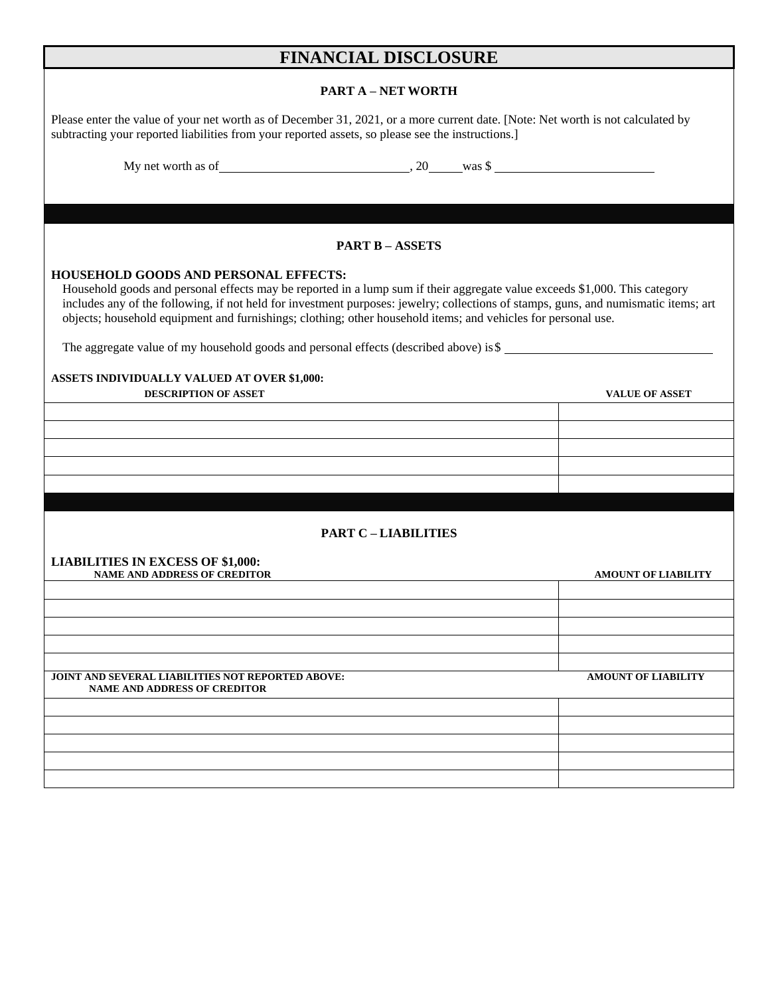### **FINANCIAL DISCLOSURE**

#### **PART A – NET WORTH**

| PARI A – NEI WORIH                                                                                                                                                                                                                                                                                                                                                                                                                 |                            |  |  |  |  |  |  |
|------------------------------------------------------------------------------------------------------------------------------------------------------------------------------------------------------------------------------------------------------------------------------------------------------------------------------------------------------------------------------------------------------------------------------------|----------------------------|--|--|--|--|--|--|
| Please enter the value of your net worth as of December 31, 2021, or a more current date. [Note: Net worth is not calculated by<br>subtracting your reported liabilities from your reported assets, so please see the instructions.]                                                                                                                                                                                               |                            |  |  |  |  |  |  |
|                                                                                                                                                                                                                                                                                                                                                                                                                                    |                            |  |  |  |  |  |  |
|                                                                                                                                                                                                                                                                                                                                                                                                                                    |                            |  |  |  |  |  |  |
|                                                                                                                                                                                                                                                                                                                                                                                                                                    |                            |  |  |  |  |  |  |
| <b>PART B-ASSETS</b>                                                                                                                                                                                                                                                                                                                                                                                                               |                            |  |  |  |  |  |  |
| <b>HOUSEHOLD GOODS AND PERSONAL EFFECTS:</b><br>Household goods and personal effects may be reported in a lump sum if their aggregate value exceeds \$1,000. This category<br>includes any of the following, if not held for investment purposes: jewelry; collections of stamps, guns, and numismatic items; art<br>objects; household equipment and furnishings; clothing; other household items; and vehicles for personal use. |                            |  |  |  |  |  |  |
| The aggregate value of my household goods and personal effects (described above) is \$                                                                                                                                                                                                                                                                                                                                             |                            |  |  |  |  |  |  |
| <b>ASSETS INDIVIDUALLY VALUED AT OVER \$1,000:</b>                                                                                                                                                                                                                                                                                                                                                                                 |                            |  |  |  |  |  |  |
| <b>DESCRIPTION OF ASSET</b>                                                                                                                                                                                                                                                                                                                                                                                                        | <b>VALUE OF ASSET</b>      |  |  |  |  |  |  |
|                                                                                                                                                                                                                                                                                                                                                                                                                                    |                            |  |  |  |  |  |  |
|                                                                                                                                                                                                                                                                                                                                                                                                                                    |                            |  |  |  |  |  |  |
|                                                                                                                                                                                                                                                                                                                                                                                                                                    |                            |  |  |  |  |  |  |
|                                                                                                                                                                                                                                                                                                                                                                                                                                    |                            |  |  |  |  |  |  |
|                                                                                                                                                                                                                                                                                                                                                                                                                                    |                            |  |  |  |  |  |  |
| <b>PART C-LIABILITIES</b>                                                                                                                                                                                                                                                                                                                                                                                                          |                            |  |  |  |  |  |  |
| <b>LIABILITIES IN EXCESS OF \$1,000:</b>                                                                                                                                                                                                                                                                                                                                                                                           |                            |  |  |  |  |  |  |
| <b>NAME AND ADDRESS OF CREDITOR</b>                                                                                                                                                                                                                                                                                                                                                                                                | <b>AMOUNT OF LIABILITY</b> |  |  |  |  |  |  |
|                                                                                                                                                                                                                                                                                                                                                                                                                                    |                            |  |  |  |  |  |  |
|                                                                                                                                                                                                                                                                                                                                                                                                                                    |                            |  |  |  |  |  |  |
|                                                                                                                                                                                                                                                                                                                                                                                                                                    |                            |  |  |  |  |  |  |
|                                                                                                                                                                                                                                                                                                                                                                                                                                    |                            |  |  |  |  |  |  |
| <b>JOINT AND SEVERAL LIABILITIES NOT REPORTED ABOVE:</b><br><b>NAME AND ADDRESS OF CREDITOR</b>                                                                                                                                                                                                                                                                                                                                    | <b>AMOUNT OF LIABILITY</b> |  |  |  |  |  |  |
|                                                                                                                                                                                                                                                                                                                                                                                                                                    |                            |  |  |  |  |  |  |
|                                                                                                                                                                                                                                                                                                                                                                                                                                    |                            |  |  |  |  |  |  |
|                                                                                                                                                                                                                                                                                                                                                                                                                                    |                            |  |  |  |  |  |  |
|                                                                                                                                                                                                                                                                                                                                                                                                                                    |                            |  |  |  |  |  |  |
|                                                                                                                                                                                                                                                                                                                                                                                                                                    |                            |  |  |  |  |  |  |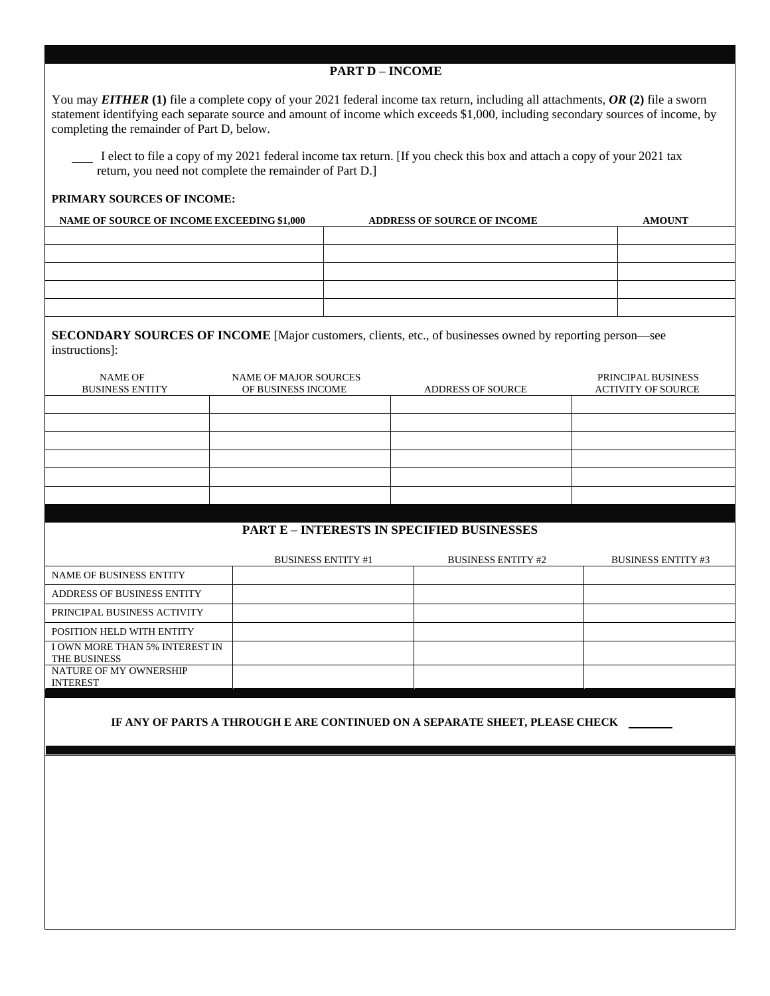| <b>PART D - INCOME</b>                                                                                                                                                                                                                                                                                                    |                                             |                           |                                                                             |  |                                                 |  |  |  |  |
|---------------------------------------------------------------------------------------------------------------------------------------------------------------------------------------------------------------------------------------------------------------------------------------------------------------------------|---------------------------------------------|---------------------------|-----------------------------------------------------------------------------|--|-------------------------------------------------|--|--|--|--|
| You may <b>EITHER</b> (1) file a complete copy of your 2021 federal income tax return, including all attachments, $OR$ (2) file a sworn<br>statement identifying each separate source and amount of income which exceeds \$1,000, including secondary sources of income, by<br>completing the remainder of Part D, below. |                                             |                           |                                                                             |  |                                                 |  |  |  |  |
| I elect to file a copy of my 2021 federal income tax return. [If you check this box and attach a copy of your 2021 tax<br>return, you need not complete the remainder of Part D.]                                                                                                                                         |                                             |                           |                                                                             |  |                                                 |  |  |  |  |
| PRIMARY SOURCES OF INCOME:                                                                                                                                                                                                                                                                                                |                                             |                           |                                                                             |  |                                                 |  |  |  |  |
| NAME OF SOURCE OF INCOME EXCEEDING \$1,000<br>ADDRESS OF SOURCE OF INCOME<br><b>AMOUNT</b>                                                                                                                                                                                                                                |                                             |                           |                                                                             |  |                                                 |  |  |  |  |
|                                                                                                                                                                                                                                                                                                                           |                                             |                           |                                                                             |  |                                                 |  |  |  |  |
|                                                                                                                                                                                                                                                                                                                           |                                             |                           |                                                                             |  |                                                 |  |  |  |  |
|                                                                                                                                                                                                                                                                                                                           |                                             |                           |                                                                             |  |                                                 |  |  |  |  |
|                                                                                                                                                                                                                                                                                                                           |                                             |                           |                                                                             |  |                                                 |  |  |  |  |
|                                                                                                                                                                                                                                                                                                                           |                                             |                           |                                                                             |  |                                                 |  |  |  |  |
| <b>SECONDARY SOURCES OF INCOME</b> [Major customers, clients, etc., of businesses owned by reporting person—see<br>instructions]:                                                                                                                                                                                         |                                             |                           |                                                                             |  |                                                 |  |  |  |  |
| <b>NAME OF</b><br><b>BUSINESS ENTITY</b>                                                                                                                                                                                                                                                                                  | NAME OF MAJOR SOURCES<br>OF BUSINESS INCOME |                           | ADDRESS OF SOURCE                                                           |  | PRINCIPAL BUSINESS<br><b>ACTIVITY OF SOURCE</b> |  |  |  |  |
|                                                                                                                                                                                                                                                                                                                           |                                             |                           |                                                                             |  |                                                 |  |  |  |  |
|                                                                                                                                                                                                                                                                                                                           |                                             |                           |                                                                             |  |                                                 |  |  |  |  |
|                                                                                                                                                                                                                                                                                                                           |                                             |                           |                                                                             |  |                                                 |  |  |  |  |
|                                                                                                                                                                                                                                                                                                                           |                                             |                           |                                                                             |  |                                                 |  |  |  |  |
|                                                                                                                                                                                                                                                                                                                           |                                             |                           |                                                                             |  |                                                 |  |  |  |  |
|                                                                                                                                                                                                                                                                                                                           |                                             |                           |                                                                             |  |                                                 |  |  |  |  |
|                                                                                                                                                                                                                                                                                                                           |                                             |                           | <b>PART E - INTERESTS IN SPECIFIED BUSINESSES</b>                           |  |                                                 |  |  |  |  |
|                                                                                                                                                                                                                                                                                                                           |                                             | <b>BUSINESS ENTITY #1</b> | <b>BUSINESS ENTITY #2</b>                                                   |  | <b>BUSINESS ENTITY #3</b>                       |  |  |  |  |
| NAME OF BUSINESS ENTITY                                                                                                                                                                                                                                                                                                   |                                             |                           |                                                                             |  |                                                 |  |  |  |  |
| ADDRESS OF BUSINESS ENTITY                                                                                                                                                                                                                                                                                                |                                             |                           |                                                                             |  |                                                 |  |  |  |  |
| PRINCIPAL BUSINESS ACTIVITY                                                                                                                                                                                                                                                                                               |                                             |                           |                                                                             |  |                                                 |  |  |  |  |
| POSITION HELD WITH ENTITY                                                                                                                                                                                                                                                                                                 |                                             |                           |                                                                             |  |                                                 |  |  |  |  |
| I OWN MORE THAN 5% INTEREST IN<br>THE BUSINESS                                                                                                                                                                                                                                                                            |                                             |                           |                                                                             |  |                                                 |  |  |  |  |
| NATURE OF MY OWNERSHIP<br><b>INTEREST</b>                                                                                                                                                                                                                                                                                 |                                             |                           |                                                                             |  |                                                 |  |  |  |  |
|                                                                                                                                                                                                                                                                                                                           |                                             |                           | IF ANY OF PARTS A THROUGH E ARE CONTINUED ON A SEPARATE SHEET, PLEASE CHECK |  |                                                 |  |  |  |  |
|                                                                                                                                                                                                                                                                                                                           |                                             |                           |                                                                             |  |                                                 |  |  |  |  |
|                                                                                                                                                                                                                                                                                                                           |                                             |                           |                                                                             |  |                                                 |  |  |  |  |
|                                                                                                                                                                                                                                                                                                                           |                                             |                           |                                                                             |  |                                                 |  |  |  |  |
|                                                                                                                                                                                                                                                                                                                           |                                             |                           |                                                                             |  |                                                 |  |  |  |  |
|                                                                                                                                                                                                                                                                                                                           |                                             |                           |                                                                             |  |                                                 |  |  |  |  |
|                                                                                                                                                                                                                                                                                                                           |                                             |                           |                                                                             |  |                                                 |  |  |  |  |
|                                                                                                                                                                                                                                                                                                                           |                                             |                           |                                                                             |  |                                                 |  |  |  |  |
|                                                                                                                                                                                                                                                                                                                           |                                             |                           |                                                                             |  |                                                 |  |  |  |  |
|                                                                                                                                                                                                                                                                                                                           |                                             |                           |                                                                             |  |                                                 |  |  |  |  |